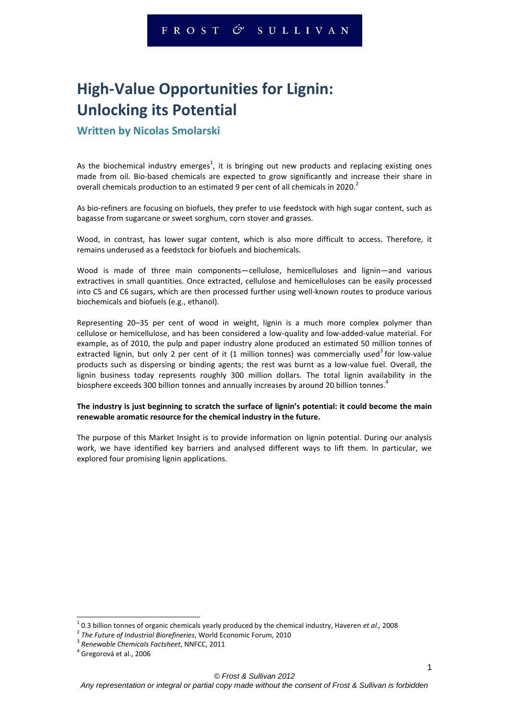# **High-Value Opportunities for Lignin: Unlocking its Potential**

### **Written by Nicolas Smolarski**

As the biochemical industry emerges<sup>1</sup>, it is bringing out new products and replacing existing ones made from oil. Bio-based chemicals are expected to grow significantly and increase their share in overall chemicals production to an estimated 9 per cent of all chemicals in 2020.<sup>2</sup>

As bio-refiners are focusing on biofuels, they prefer to use feedstock with high sugar content, such as bagasse from sugarcane or sweet sorghum, corn stover and grasses.

Wood, in contrast, has lower sugar content, which is also more difficult to access. Therefore, it remains underused as a feedstock for biofuels and biochemicals.

Wood is made of three main components—cellulose, hemicelluloses and lignin—and various extractives in small quantities. Once extracted, cellulose and hemicelluloses can be easily processed into C5 and C6 sugars, which are then processed further using well-known routes to produce various biochemicals and biofuels (e.g., ethanol).

Representing 20–35 per cent of wood in weight, lignin is a much more complex polymer than cellulose or hemicellulose, and has been considered a low-quality and low-added-value material. For example, as of 2010, the pulp and paper industry alone produced an estimated 50 million tonnes of extracted lignin, but only 2 per cent of it (1 million tonnes) was commercially used<sup>3</sup> for low-value products such as dispersing or binding agents; the rest was burnt as a low-value fuel. Overall, the lignin business today represents roughly 300 million dollars. The total lignin availability in the biosphere exceeds 300 billion tonnes and annually increases by around 20 billion tonnes.<sup>4</sup>

#### **The industry is just beginning to scratch the surface of lignin's potential: it could become the main renewable aromatic resource for the chemical industry in the future.**

The purpose of this Market Insight is to provide information on lignin potential. During our analysis work, we have identified key barriers and analysed different ways to lift them. In particular, we explored four promising lignin applications.

<sup>1</sup> 0.3 billion tonnes of organic chemicals yearly produced by the chemical industry, Haveren *et al.,* 2008

<sup>2</sup> *The Future of Industrial Biorefineries*, World Economic Forum, 2010

<sup>3</sup> *Renewable Chemicals Factsheet*, NNFCC, 2011

<sup>&</sup>lt;sup>4</sup> Gregorová et al., 2006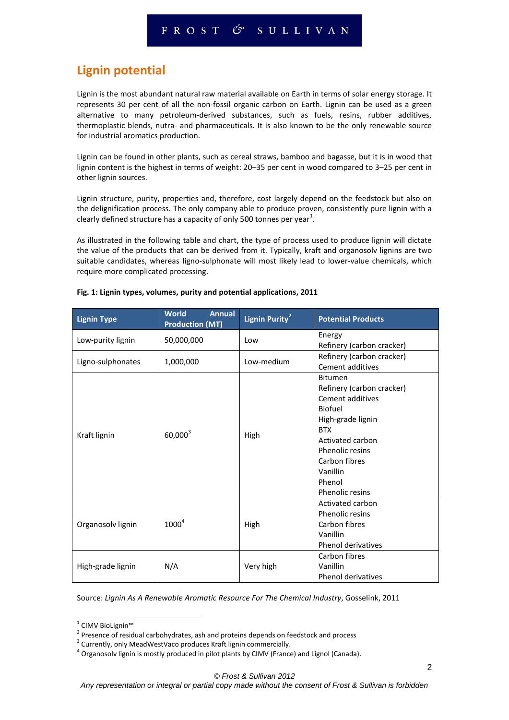# **Lignin potential**

Lignin is the most abundant natural raw material available on Earth in terms of solar energy storage. It represents 30 per cent of all the non-fossil organic carbon on Earth. Lignin can be used as a green alternative to many petroleum-derived substances, such as fuels, resins, rubber additives, thermoplastic blends, nutra- and pharmaceuticals. It is also known to be the only renewable source for industrial aromatics production.

Lignin can be found in other plants, such as cereal straws, bamboo and bagasse, but it is in wood that lignin content is the highest in terms of weight: 20–35 per cent in wood compared to 3–25 per cent in other lignin sources.

Lignin structure, purity, properties and, therefore, cost largely depend on the feedstock but also on the delignification process. The only company able to produce proven, consistently pure lignin with a clearly defined structure has a capacity of only 500 tonnes per year $^1$ .

As illustrated in the following table and chart, the type of process used to produce lignin will dictate the value of the products that can be derived from it. Typically, kraft and organosolv lignins are two suitable candidates, whereas ligno-sulphonate will most likely lead to lower-value chemicals, which require more complicated processing.

| <b>Lignin Type</b> | <b>World</b><br><b>Annual</b><br><b>Production (MT)</b> | Lignin Purity <sup>2</sup>      | <b>Potential Products</b> |
|--------------------|---------------------------------------------------------|---------------------------------|---------------------------|
| Low-purity lignin  | 50,000,000                                              | Low                             | Energy                    |
|                    |                                                         |                                 | Refinery (carbon cracker) |
| Ligno-sulphonates  | 1,000,000                                               | Low-medium                      | Refinery (carbon cracker) |
|                    |                                                         |                                 | <b>Cement additives</b>   |
|                    |                                                         |                                 | <b>Bitumen</b>            |
|                    |                                                         |                                 | Refinery (carbon cracker) |
|                    |                                                         |                                 | Cement additives          |
|                    |                                                         |                                 | Biofuel                   |
|                    |                                                         | High-grade lignin<br><b>BTX</b> |                           |
| Kraft lignin       | $60,000^3$<br>High                                      |                                 |                           |
|                    |                                                         | Activated carbon                |                           |
|                    |                                                         | Phenolic resins                 |                           |
|                    | Carbon fibres<br>Vanillin<br>Phenol<br>Phenolic resins  |                                 |                           |
|                    |                                                         |                                 |                           |
|                    |                                                         |                                 |                           |
|                    |                                                         |                                 |                           |
|                    |                                                         |                                 | Activated carbon          |
|                    |                                                         |                                 | Phenolic resins           |
| Organosolv lignin  | $1000^4$                                                | High                            | Carbon fibres             |
|                    |                                                         |                                 | Vanillin                  |
|                    |                                                         |                                 | Phenol derivatives        |
| High-grade lignin  | N/A                                                     | Very high                       | Carbon fibres             |
|                    |                                                         |                                 | Vanillin                  |
|                    |                                                         |                                 | <b>Phenol derivatives</b> |

#### **Fig. 1: Lignin types, volumes, purity and potential applications, 2011**

Source: *Lignin As A Renewable Aromatic Resource For The Chemical Industry*, Gosselink, 2011

<sup>&</sup>lt;sup>1</sup> CIMV BioLignin™

 $2$  Presence of residual carbohydrates, ash and proteins depends on feedstock and process

<sup>&</sup>lt;sup>3</sup> Currently, only MeadWestVaco produces Kraft lignin commercially.

 $^4$  Organosolv lignin is mostly produced in pilot plants by CIMV (France) and Lignol (Canada).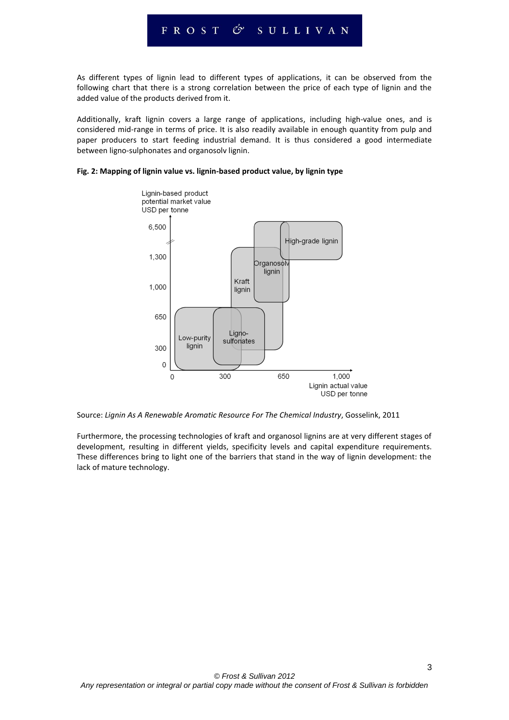As different types of lignin lead to different types of applications, it can be observed from the following chart that there is a strong correlation between the price of each type of lignin and the added value of the products derived from it.

Additionally, kraft lignin covers a large range of applications, including high-value ones, and is considered mid-range in terms of price. It is also readily available in enough quantity from pulp and paper producers to start feeding industrial demand. It is thus considered a good intermediate between ligno-sulphonates and organosolv lignin.

#### **Fig. 2: Mapping of lignin value vs. lignin-based product value, by lignin type**



Source: *Lignin As A Renewable Aromatic Resource For The Chemical Industry*, Gosselink, 2011

Furthermore, the processing technologies of kraft and organosol lignins are at very different stages of development, resulting in different yields, specificity levels and capital expenditure requirements. These differences bring to light one of the barriers that stand in the way of lignin development: the lack of mature technology.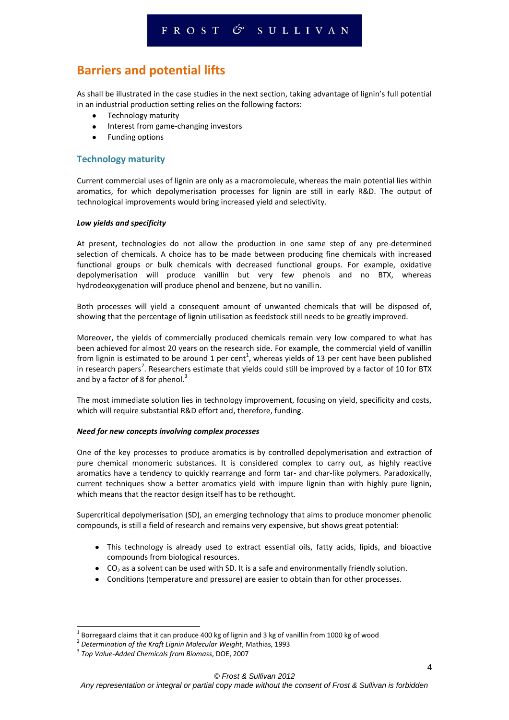# **Barriers and potential lifts**

As shall be illustrated in the case studies in the next section, taking advantage of lignin's full potential in an industrial production setting relies on the following factors:

- $\bullet$ Technology maturity
- Interest from game-changing investors  $\bullet$
- Funding options

#### **Technology maturity**

Current commercial uses of lignin are only as a macromolecule, whereas the main potential lies within aromatics, for which depolymerisation processes for lignin are still in early R&D. The output of technological improvements would bring increased yield and selectivity.

#### *Low yields and specificity*

At present, technologies do not allow the production in one same step of any pre-determined selection of chemicals. A choice has to be made between producing fine chemicals with increased functional groups or bulk chemicals with decreased functional groups. For example, oxidative depolymerisation will produce vanillin but very few phenols and no BTX, whereas hydrodeoxygenation will produce phenol and benzene, but no vanillin.

Both processes will yield a consequent amount of unwanted chemicals that will be disposed of, showing that the percentage of lignin utilisation as feedstock still needs to be greatly improved.

Moreover, the yields of commercially produced chemicals remain very low compared to what has been achieved for almost 20 years on the research side. For example, the commercial yield of vanillin from lignin is estimated to be around 1 per cent<sup>1</sup>, whereas yields of 13 per cent have been published in research papers<sup>2</sup>. Researchers estimate that yields could still be improved by a factor of 10 for BTX and by a factor of 8 for phenol. $3$ 

The most immediate solution lies in technology improvement, focusing on yield, specificity and costs, which will require substantial R&D effort and, therefore, funding.

#### *Need for new concepts involving complex processes*

One of the key processes to produce aromatics is by controlled depolymerisation and extraction of pure chemical monomeric substances. It is considered complex to carry out, as highly reactive aromatics have a tendency to quickly rearrange and form tar- and char-like polymers. Paradoxically, current techniques show a better aromatics yield with impure lignin than with highly pure lignin, which means that the reactor design itself has to be rethought.

Supercritical depolymerisation (SD), an emerging technology that aims to produce monomer phenolic compounds, is still a field of research and remains very expensive, but shows great potential:

- This technology is already used to extract essential oils, fatty acids, lipids, and bioactive compounds from biological resources.
- $\bullet$  CO<sub>2</sub> as a solvent can be used with SD. It is a safe and environmentally friendly solution.
- Conditions (temperature and pressure) are easier to obtain than for other processes.

 1 Borregaard claims that it can produce 400 kg of lignin and 3 kg of vanillin from 1000 kg of wood

<sup>2</sup> *Determination of the Kraft Lignin Molecular Weight*, Mathias, 1993

<sup>3</sup> *Top Value-Added Chemicals from Biomass*, DOE, 2007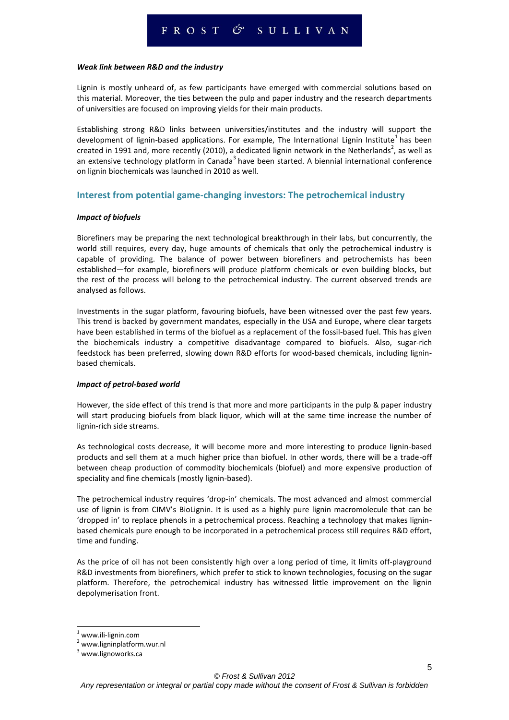#### *Weak link between R&D and the industry*

Lignin is mostly unheard of, as few participants have emerged with commercial solutions based on this material. Moreover, the ties between the pulp and paper industry and the research departments of universities are focused on improving yields for their main products.

Establishing strong R&D links between universities/institutes and the industry will support the development of lignin-based applications. For example, The International Lignin Institute<sup>1</sup> has been created in 1991 and, more recently (2010), a dedicated lignin network in the Netherlands<sup>2</sup>, as well as an extensive technology platform in Canada<sup>3</sup> have been started. A biennial international conference on lignin biochemicals was launched in 2010 as well.

#### **Interest from potential game-changing investors: The petrochemical industry**

#### *Impact of biofuels*

Biorefiners may be preparing the next technological breakthrough in their labs, but concurrently, the world still requires, every day, huge amounts of chemicals that only the petrochemical industry is capable of providing. The balance of power between biorefiners and petrochemists has been established—for example, biorefiners will produce platform chemicals or even building blocks, but the rest of the process will belong to the petrochemical industry. The current observed trends are analysed as follows.

Investments in the sugar platform, favouring biofuels, have been witnessed over the past few years. This trend is backed by government mandates, especially in the USA and Europe, where clear targets have been established in terms of the biofuel as a replacement of the fossil-based fuel. This has given the biochemicals industry a competitive disadvantage compared to biofuels. Also, sugar-rich feedstock has been preferred, slowing down R&D efforts for wood-based chemicals, including ligninbased chemicals.

#### *Impact of petrol-based world*

However, the side effect of this trend is that more and more participants in the pulp & paper industry will start producing biofuels from black liquor, which will at the same time increase the number of lignin-rich side streams.

As technological costs decrease, it will become more and more interesting to produce lignin-based products and sell them at a much higher price than biofuel. In other words, there will be a trade-off between cheap production of commodity biochemicals (biofuel) and more expensive production of speciality and fine chemicals (mostly lignin-based).

The petrochemical industry requires 'drop-in' chemicals. The most advanced and almost commercial use of lignin is from CIMV's BioLignin. It is used as a highly pure lignin macromolecule that can be 'dropped in' to replace phenols in a petrochemical process. Reaching a technology that makes ligninbased chemicals pure enough to be incorporated in a petrochemical process still requires R&D effort, time and funding.

As the price of oil has not been consistently high over a long period of time, it limits off-playground R&D investments from biorefiners, which prefer to stick to known technologies, focusing on the sugar platform. Therefore, the petrochemical industry has witnessed little improvement on the lignin depolymerisation front.

 $1$  www.ili-lignin.com

<sup>2</sup> www.ligninplatform.wur.nl

 $3$  www.lignoworks.ca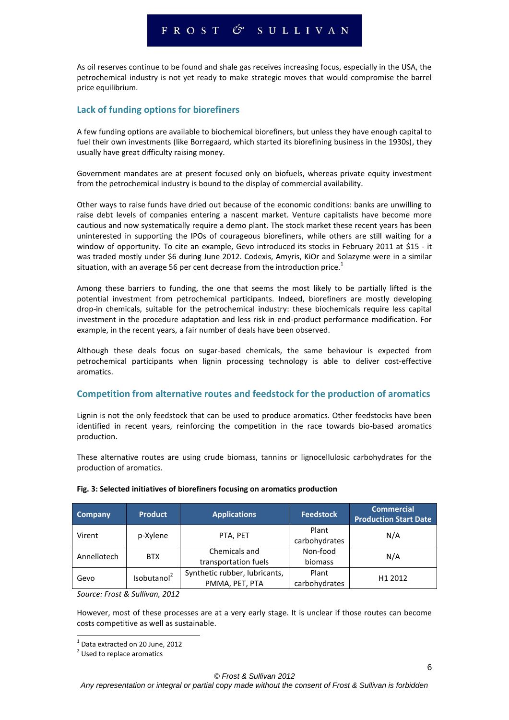### FROST & SULLIVAN

As oil reserves continue to be found and shale gas receives increasing focus, especially in the USA, the petrochemical industry is not yet ready to make strategic moves that would compromise the barrel price equilibrium.

#### **Lack of funding options for biorefiners**

A few funding options are available to biochemical biorefiners, but unless they have enough capital to fuel their own investments (like Borregaard, which started its biorefining business in the 1930s), they usually have great difficulty raising money.

Government mandates are at present focused only on biofuels, whereas private equity investment from the petrochemical industry is bound to the display of commercial availability.

Other ways to raise funds have dried out because of the economic conditions: banks are unwilling to raise debt levels of companies entering a nascent market. Venture capitalists have become more cautious and now systematically require a demo plant. The stock market these recent years has been uninterested in supporting the IPOs of courageous biorefiners, while others are still waiting for a window of opportunity. To cite an example, Gevo introduced its stocks in February 2011 at \$15 - it was traded mostly under \$6 during June 2012. Codexis, Amyris, KiOr and Solazyme were in a similar situation, with an average 56 per cent decrease from the introduction price.<sup>1</sup>

Among these barriers to funding, the one that seems the most likely to be partially lifted is the potential investment from petrochemical participants. Indeed, biorefiners are mostly developing drop-in chemicals, suitable for the petrochemical industry: these biochemicals require less capital investment in the procedure adaptation and less risk in end-product performance modification. For example, in the recent years, a fair number of deals have been observed.

Although these deals focus on sugar-based chemicals, the same behaviour is expected from petrochemical participants when lignin processing technology is able to deliver cost-effective aromatics.

#### **Competition from alternative routes and feedstock for the production of aromatics**

Lignin is not the only feedstock that can be used to produce aromatics. Other feedstocks have been identified in recent years, reinforcing the competition in the race towards bio-based aromatics production.

These alternative routes are using crude biomass, tannins or lignocellulosic carbohydrates for the production of aromatics.

| Company     | <b>Product</b>          | <b>Feedstock</b><br><b>Applications</b> |               | <b>Commercial</b><br><b>Production Start Date</b> |  |
|-------------|-------------------------|-----------------------------------------|---------------|---------------------------------------------------|--|
| Virent      | p-Xylene                | PTA, PET                                | Plant         | N/A                                               |  |
|             |                         |                                         | carbohydrates |                                                   |  |
| Annellotech | <b>BTX</b>              | Non-food<br>Chemicals and               |               | N/A                                               |  |
|             |                         | transportation fuels                    | biomass       |                                                   |  |
| Gevo        | Isobutanol <sup>2</sup> | Synthetic rubber, lubricants,           | Plant         | H1 2012                                           |  |
|             |                         | PMMA, PET, PTA                          | carbohydrates |                                                   |  |

#### **Fig. 3: Selected initiatives of biorefiners focusing on aromatics production**

*Source: Frost & Sullivan, 2012*

However, most of these processes are at a very early stage. It is unclear if those routes can become costs competitive as well as sustainable.

<sup>1</sup> Data extracted on 20 June, 2012

<sup>&</sup>lt;sup>2</sup> Used to replace aromatics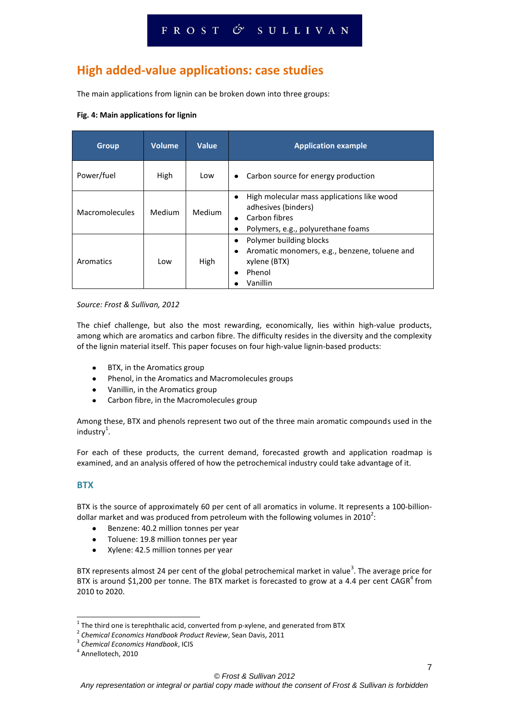# **High added-value applications: case studies**

The main applications from lignin can be broken down into three groups:

#### **Fig. 4: Main applications for lignin**

| <b>Group</b>   | <b>Volume</b> | Value  | <b>Application example</b>                                                                                                  |  |
|----------------|---------------|--------|-----------------------------------------------------------------------------------------------------------------------------|--|
| Power/fuel     | High          | Low    | Carbon source for energy production                                                                                         |  |
| Macromolecules | Medium        | Medium | High molecular mass applications like wood<br>adhesives (binders)<br>Carbon fibres<br>Polymers, e.g., polyurethane foams    |  |
| Aromatics      | Low           | High   | Polymer building blocks<br>Aromatic monomers, e.g., benzene, toluene and<br>$\bullet$<br>xylene (BTX)<br>Phenol<br>Vanillin |  |

#### *Source: Frost & Sullivan, 2012*

The chief challenge, but also the most rewarding, economically, lies within high-value products, among which are aromatics and carbon fibre. The difficulty resides in the diversity and the complexity of the lignin material itself. This paper focuses on four high-value lignin-based products:

- BTX, in the Aromatics group
- Phenol, in the Aromatics and Macromolecules groups
- Vanillin, in the Aromatics group
- Carbon fibre, in the Macromolecules group

Among these, BTX and phenols represent two out of the three main aromatic compounds used in the  $industry<sup>1</sup>$ .

For each of these products, the current demand, forecasted growth and application roadmap is examined, and an analysis offered of how the petrochemical industry could take advantage of it.

#### **BTX**

-

BTX is the source of approximately 60 per cent of all aromatics in volume. It represents a 100-billiondollar market and was produced from petroleum with the following volumes in 2010<sup>2</sup>:

- Benzene: 40.2 million tonnes per year  $\bullet$
- Toluene: 19.8 million tonnes per year  $\bullet$
- $\bullet$ Xylene: 42.5 million tonnes per year

BTX represents almost 24 per cent of the global petrochemical market in value<sup>3</sup>. The average price for BTX is around \$1,200 per tonne. The BTX market is forecasted to grow at a 4.4 per cent CAGR<sup>4</sup> from 2010 to 2020.

 $^1$  The third one is terephthalic acid, converted from p-xylene, and generated from BTX

<sup>2</sup> *Chemical Economics Handbook Product Review*, Sean Davis, 2011

<sup>3</sup> *Chemical Economics Handbook*, ICIS

<sup>4</sup> Annellotech, 2010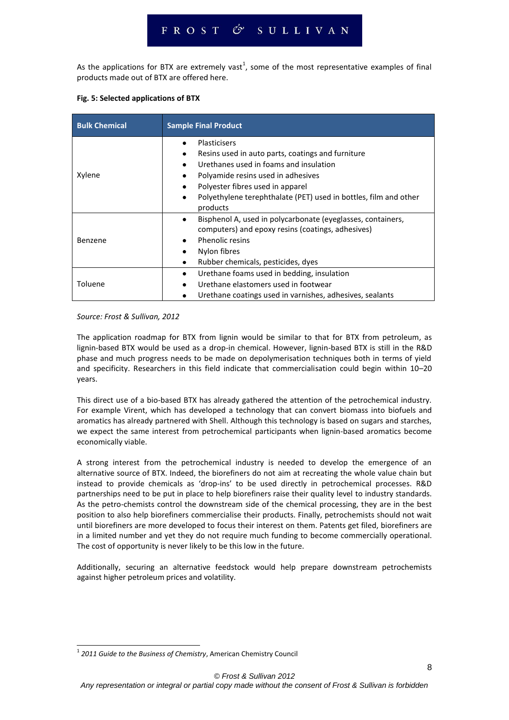As the applications for BTX are extremely vast<sup>1</sup>, some of the most representative examples of final products made out of BTX are offered here.

#### **Fig. 5: Selected applications of BTX**

| <b>Bulk Chemical</b> | <b>Sample Final Product</b>                                                                                                                                                                                                                                                                                                                 |  |  |  |
|----------------------|---------------------------------------------------------------------------------------------------------------------------------------------------------------------------------------------------------------------------------------------------------------------------------------------------------------------------------------------|--|--|--|
| Xylene               | Plasticisers<br>$\bullet$<br>Resins used in auto parts, coatings and furniture<br>$\bullet$<br>Urethanes used in foams and insulation<br>$\bullet$<br>Polyamide resins used in adhesives<br>٠<br>Polyester fibres used in apparel<br>$\bullet$<br>Polyethylene terephthalate (PET) used in bottles, film and other<br>$\bullet$<br>products |  |  |  |
| Benzene              | Bisphenol A, used in polycarbonate (eyeglasses, containers,<br>٠<br>computers) and epoxy resins (coatings, adhesives)<br><b>Phenolic resins</b><br>$\bullet$<br>Nylon fibres<br>$\bullet$<br>Rubber chemicals, pesticides, dyes<br>٠                                                                                                        |  |  |  |
| Toluene              | Urethane foams used in bedding, insulation<br>٠<br>Urethane elastomers used in footwear<br>$\bullet$<br>Urethane coatings used in varnishes, adhesives, sealants                                                                                                                                                                            |  |  |  |

#### *Source: Frost & Sullivan, 2012*

The application roadmap for BTX from lignin would be similar to that for BTX from petroleum, as lignin-based BTX would be used as a drop-in chemical. However, lignin-based BTX is still in the R&D phase and much progress needs to be made on depolymerisation techniques both in terms of yield and specificity. Researchers in this field indicate that commercialisation could begin within 10–20 years.

This direct use of a bio-based BTX has already gathered the attention of the petrochemical industry. For example Virent, which has developed a technology that can convert biomass into biofuels and aromatics has already partnered with Shell. Although this technology is based on sugars and starches, we expect the same interest from petrochemical participants when lignin-based aromatics become economically viable.

A strong interest from the petrochemical industry is needed to develop the emergence of an alternative source of BTX. Indeed, the biorefiners do not aim at recreating the whole value chain but instead to provide chemicals as 'drop-ins' to be used directly in petrochemical processes. R&D partnerships need to be put in place to help biorefiners raise their quality level to industry standards. As the petro-chemists control the downstream side of the chemical processing, they are in the best position to also help biorefiners commercialise their products. Finally, petrochemists should not wait until biorefiners are more developed to focus their interest on them. Patents get filed, biorefiners are in a limited number and yet they do not require much funding to become commercially operational. The cost of opportunity is never likely to be this low in the future.

Additionally, securing an alternative feedstock would help prepare downstream petrochemists against higher petroleum prices and volatility.

<sup>1</sup> *2011 Guide to the Business of Chemistry*, American Chemistry Council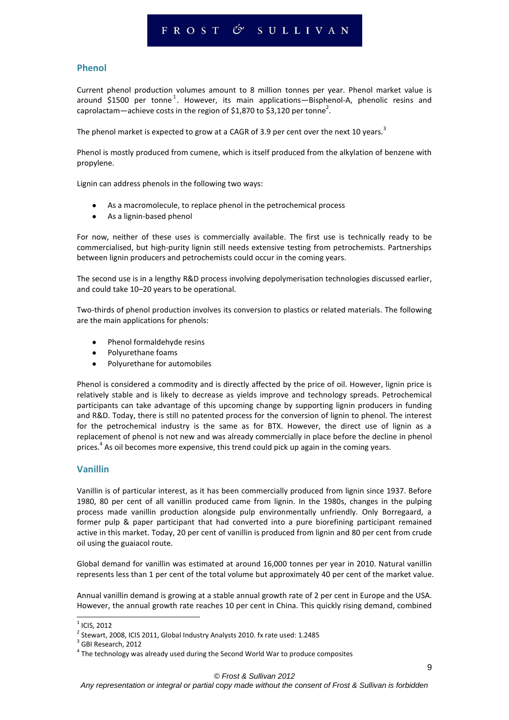#### **Phenol**

Current phenol production volumes amount to 8 million tonnes per year. Phenol market value is around \$1500 per tonne<sup>1</sup>. However, its main applications—Bisphenol-A, phenolic resins and caprolactam—achieve costs in the region of \$1,870 to \$3,120 per tonne<sup>2</sup>.

The phenol market is expected to grow at a CAGR of 3.9 per cent over the next 10 years.<sup>3</sup>

Phenol is mostly produced from cumene, which is itself produced from the alkylation of benzene with propylene.

Lignin can address phenols in the following two ways:

- As a macromolecule, to replace phenol in the petrochemical process
- As a lignin-based phenol  $\bullet$

For now, neither of these uses is commercially available. The first use is technically ready to be commercialised, but high-purity lignin still needs extensive testing from petrochemists. Partnerships between lignin producers and petrochemists could occur in the coming years.

The second use is in a lengthy R&D process involving depolymerisation technologies discussed earlier, and could take 10–20 years to be operational.

Two-thirds of phenol production involves its conversion to plastics or related materials. The following are the main applications for phenols:

- Phenol formaldehyde resins
- Polyurethane foams
- Polyurethane for automobiles

Phenol is considered a commodity and is directly affected by the price of oil. However, lignin price is relatively stable and is likely to decrease as yields improve and technology spreads. Petrochemical participants can take advantage of this upcoming change by supporting lignin producers in funding and R&D. Today, there is still no patented process for the conversion of lignin to phenol. The interest for the petrochemical industry is the same as for BTX. However, the direct use of lignin as a replacement of phenol is not new and was already commercially in place before the decline in phenol prices.<sup>4</sup> As oil becomes more expensive, this trend could pick up again in the coming years.

#### **Vanillin**

Vanillin is of particular interest, as it has been commercially produced from lignin since 1937. Before 1980, 80 per cent of all vanillin produced came from lignin. In the 1980s, changes in the pulping process made vanillin production alongside pulp environmentally unfriendly. Only Borregaard, a former pulp & paper participant that had converted into a pure biorefining participant remained active in this market. Today, 20 per cent of vanillin is produced from lignin and 80 per cent from crude oil using the guaiacol route.

Global demand for vanillin was estimated at around 16,000 tonnes per year in 2010. Natural vanillin represents less than 1 per cent of the total volume but approximately 40 per cent of the market value.

Annual vanillin demand is growing at a stable annual growth rate of 2 per cent in Europe and the USA. However, the annual growth rate reaches 10 per cent in China. This quickly rising demand, combined

 $<sup>1</sup>$  ICIS, 2012</sup>

 $^2$  Stewart, 2008, ICIS 2011, Global Industry Analysts 2010. fx rate used: 1.2485

<sup>&</sup>lt;sup>3</sup> GBI Research, 2012

 $<sup>4</sup>$  The technology was already used during the Second World War to produce composites</sup>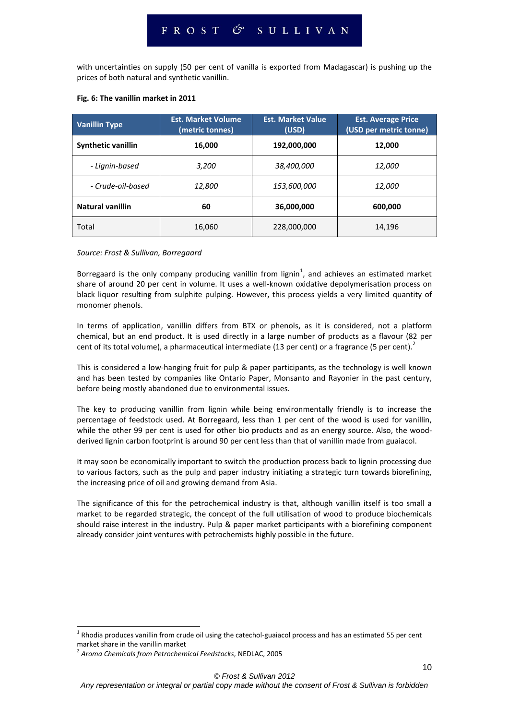with uncertainties on supply (50 per cent of vanilla is exported from Madagascar) is pushing up the prices of both natural and synthetic vanillin.

| <b>Vanillin Type</b>    | <b>Est. Market Volume</b><br>(metric tonnes) | <b>Est. Market Value</b><br>(USD) | <b>Est. Average Price</b><br>(USD per metric tonne) |  |
|-------------------------|----------------------------------------------|-----------------------------------|-----------------------------------------------------|--|
| Synthetic vanillin      | 16,000                                       | 192,000,000                       | 12,000                                              |  |
| - Lignin-based          | 3,200                                        | 38,400,000                        | 12,000                                              |  |
| - Crude-oil-based       | 12,800                                       | <i>153,600,000</i>                | 12,000                                              |  |
| <b>Natural vanillin</b> | 60                                           | 36,000,000                        | 600,000                                             |  |
| Total                   | 16,060                                       | 228,000,000                       | 14,196                                              |  |

#### **Fig. 6: The vanillin market in 2011**

#### *Source: Frost & Sullivan, Borregaard*

Borregaard is the only company producing vanillin from lignin<sup>1</sup>, and achieves an estimated market share of around 20 per cent in volume. It uses a well-known oxidative depolymerisation process on black liquor resulting from sulphite pulping. However, this process yields a very limited quantity of monomer phenols.

In terms of application, vanillin differs from BTX or phenols, as it is considered, not a platform chemical, but an end product. It is used directly in a large number of products as a flavour (82 per cent of its total volume), a pharmaceutical intermediate (13 per cent) or a fragrance (5 per cent).<sup>2</sup>

This is considered a low-hanging fruit for pulp & paper participants, as the technology is well known and has been tested by companies like Ontario Paper, Monsanto and Rayonier in the past century, before being mostly abandoned due to environmental issues.

The key to producing vanillin from lignin while being environmentally friendly is to increase the percentage of feedstock used. At Borregaard, less than 1 per cent of the wood is used for vanillin, while the other 99 per cent is used for other bio products and as an energy source. Also, the woodderived lignin carbon footprint is around 90 per cent less than that of vanillin made from guaiacol.

It may soon be economically important to switch the production process back to lignin processing due to various factors, such as the pulp and paper industry initiating a strategic turn towards biorefining, the increasing price of oil and growing demand from Asia.

The significance of this for the petrochemical industry is that, although vanillin itself is too small a market to be regarded strategic, the concept of the full utilisation of wood to produce biochemicals should raise interest in the industry. Pulp & paper market participants with a biorefining component already consider joint ventures with petrochemists highly possible in the future.

 $1$  Rhodia produces vanillin from crude oil using the catechol-guaiacol process and has an estimated 55 per cent market share in the vanillin market

<sup>2</sup> *Aroma Chemicals from Petrochemical Feedstocks*, NEDLAC, 2005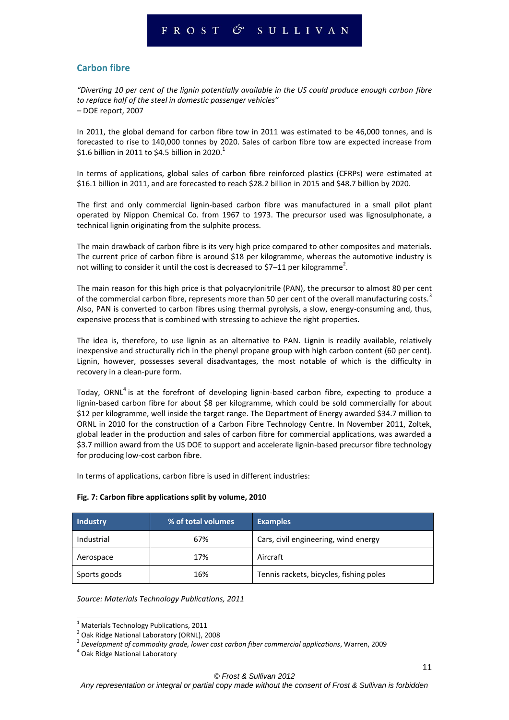#### **Carbon fibre**

*"Diverting 10 per cent of the lignin potentially available in the US could produce enough carbon fibre to replace half of the steel in domestic passenger vehicles" –* DOE report, 2007

In 2011, the global demand for carbon fibre tow in 2011 was estimated to be 46,000 tonnes, and is forecasted to rise to 140,000 tonnes by 2020. Sales of carbon fibre tow are expected increase from \$1.6 billion in 2011 to \$4.5 billion in 2020.<sup>1</sup>

In terms of applications, global sales of carbon fibre reinforced plastics (CFRPs) were estimated at \$16.1 billion in 2011, and are forecasted to reach \$28.2 billion in 2015 and \$48.7 billion by 2020.

The first and only commercial lignin-based carbon fibre was manufactured in a small pilot plant operated by Nippon Chemical Co. from 1967 to 1973. The precursor used was lignosulphonate, a technical lignin originating from the sulphite process.

The main drawback of carbon fibre is its very high price compared to other composites and materials. The current price of carbon fibre is around \$18 per kilogramme, whereas the automotive industry is not willing to consider it until the cost is decreased to \$7–11 per kilogramme<sup>2</sup>.

The main reason for this high price is that polyacrylonitrile (PAN), the precursor to almost 80 per cent of the commercial carbon fibre, represents more than 50 per cent of the overall manufacturing costs.<sup>3</sup> Also, PAN is converted to carbon fibres using thermal pyrolysis, a slow, energy-consuming and, thus, expensive process that is combined with stressing to achieve the right properties.

The idea is, therefore, to use lignin as an alternative to PAN. Lignin is readily available, relatively inexpensive and structurally rich in the phenyl propane group with high carbon content (60 per cent). Lignin, however, possesses several disadvantages, the most notable of which is the difficulty in recovery in a clean-pure form.

Today, ORNL<sup>4</sup> is at the forefront of developing lignin-based carbon fibre, expecting to produce a lignin-based carbon fibre for about \$8 per kilogramme, which could be sold commercially for about \$12 per kilogramme, well inside the target range. The Department of Energy awarded \$34.7 million to ORNL in 2010 for the construction of a Carbon Fibre Technology Centre. In November 2011, Zoltek, global leader in the production and sales of carbon fibre for commercial applications, was awarded a \$3.7 million award from the US DOE to support and accelerate lignin-based precursor fibre technology for producing low-cost carbon fibre.

In terms of applications, carbon fibre is used in different industries:

| <b>Industry</b> | % of total volumes | <b>Examples</b>                         |
|-----------------|--------------------|-----------------------------------------|
| Industrial      | 67%                | Cars, civil engineering, wind energy    |
| Aerospace       | 17%                | Aircraft                                |
| Sports goods    | 16%                | Tennis rackets, bicycles, fishing poles |

#### **Fig. 7: Carbon fibre applications split by volume, 2010**

*Source: Materials Technology Publications, 2011*

 $1$  Materials Technology Publications, 2011

<sup>&</sup>lt;sup>2</sup> Oak Ridge National Laboratory (ORNL), 2008

<sup>3</sup> *Development of commodity grade, lower cost carbon fiber commercial applications*, Warren, 2009

<sup>4</sup> Oak Ridge National Laboratory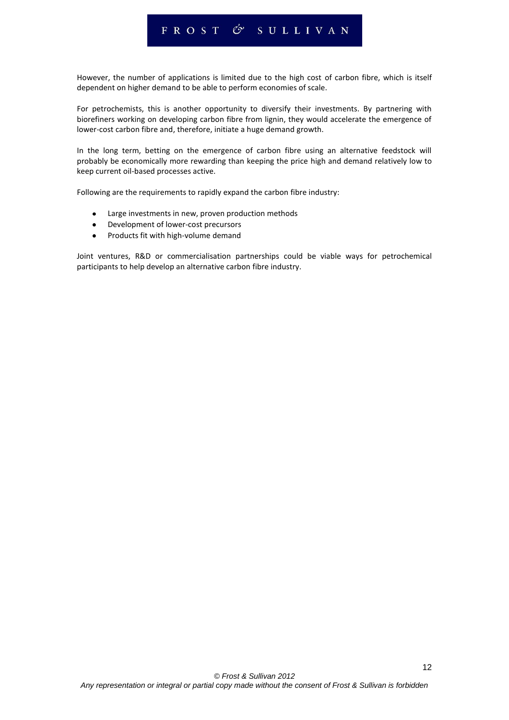### FROST & SULLIVAN

However, the number of applications is limited due to the high cost of carbon fibre, which is itself dependent on higher demand to be able to perform economies of scale.

For petrochemists, this is another opportunity to diversify their investments. By partnering with biorefiners working on developing carbon fibre from lignin, they would accelerate the emergence of lower-cost carbon fibre and, therefore, initiate a huge demand growth.

In the long term, betting on the emergence of carbon fibre using an alternative feedstock will probably be economically more rewarding than keeping the price high and demand relatively low to keep current oil-based processes active.

Following are the requirements to rapidly expand the carbon fibre industry:

- Large investments in new, proven production methods
- Development of lower-cost precursors
- Products fit with high-volume demand  $\bullet$

Joint ventures, R&D or commercialisation partnerships could be viable ways for petrochemical participants to help develop an alternative carbon fibre industry.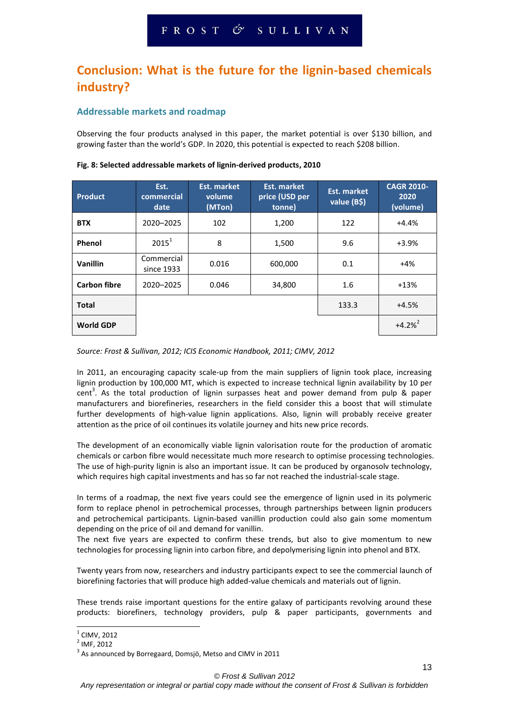# **Conclusion: What is the future for the lignin-based chemicals industry?**

#### **Addressable markets and roadmap**

Observing the four products analysed in this paper, the market potential is over \$130 billion, and growing faster than the world's GDP. In 2020, this potential is expected to reach \$208 billion.

| <b>Product</b>      | Est.<br>commercial<br>date | Est. market<br>volume<br>(MTon) | Est. market<br>price (USD per<br>tonne) | Est. market<br>value (B\$) | <b>CAGR 2010-</b><br>2020<br>(volume) |
|---------------------|----------------------------|---------------------------------|-----------------------------------------|----------------------------|---------------------------------------|
| <b>BTX</b>          | 2020-2025                  | 102                             | 1,200                                   | 122                        | $+4.4%$                               |
| Phenol              | $2015^1$                   | 8                               | 1,500                                   | 9.6                        | $+3.9%$                               |
| Vanillin            | Commercial<br>since 1933   | 0.016                           | 600,000                                 | 0.1                        | $+4%$                                 |
| <b>Carbon fibre</b> | 2020-2025                  | 0.046                           | 34,800                                  | 1.6                        | $+13%$                                |
| <b>Total</b>        |                            |                                 |                                         | 133.3                      | $+4.5%$                               |
| <b>World GDP</b>    |                            |                                 |                                         |                            | $+4.2%^{2}$                           |

#### **Fig. 8: Selected addressable markets of lignin-derived products, 2010**

*Source: Frost & Sullivan, 2012; ICIS Economic Handbook, 2011; CIMV, 2012*

In 2011, an encouraging capacity scale-up from the main suppliers of lignin took place, increasing lignin production by 100,000 MT, which is expected to increase technical lignin availability by 10 per cent<sup>3</sup>. As the total production of lignin surpasses heat and power demand from pulp & paper manufacturers and biorefineries, researchers in the field consider this a boost that will stimulate further developments of high-value lignin applications. Also, lignin will probably receive greater attention as the price of oil continues its volatile journey and hits new price records.

The development of an economically viable lignin valorisation route for the production of aromatic chemicals or carbon fibre would necessitate much more research to optimise processing technologies. The use of high-purity lignin is also an important issue. It can be produced by organosolv technology, which requires high capital investments and has so far not reached the industrial-scale stage.

In terms of a roadmap, the next five years could see the emergence of lignin used in its polymeric form to replace phenol in petrochemical processes, through partnerships between lignin producers and petrochemical participants. Lignin-based vanillin production could also gain some momentum depending on the price of oil and demand for vanillin.

The next five years are expected to confirm these trends, but also to give momentum to new technologies for processing lignin into carbon fibre, and depolymerising lignin into phenol and BTX.

Twenty years from now, researchers and industry participants expect to see the commercial launch of biorefining factories that will produce high added-value chemicals and materials out of lignin.

These trends raise important questions for the entire galaxy of participants revolving around these products: biorefiners, technology providers, pulp & paper participants, governments and

<sup>&</sup>lt;u>1</u> CIMV, 2012

 $<sup>2</sup>$  IMF, 2012</sup>

 $3$  As announced by Borregaard, Domsjö, Metso and CIMV in 2011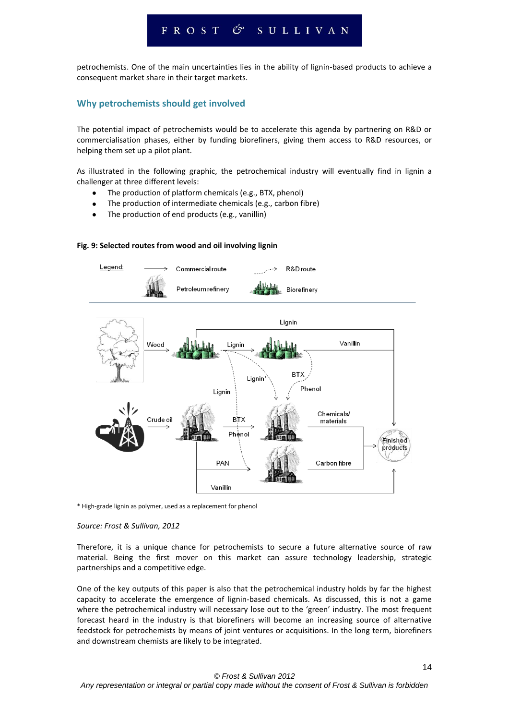### FROST & SULLIVAN

petrochemists. One of the main uncertainties lies in the ability of lignin-based products to achieve a consequent market share in their target markets.

#### **Why petrochemists should get involved**

The potential impact of petrochemists would be to accelerate this agenda by partnering on R&D or commercialisation phases, either by funding biorefiners, giving them access to R&D resources, or helping them set up a pilot plant.

As illustrated in the following graphic, the petrochemical industry will eventually find in lignin a challenger at three different levels:

- The production of platform chemicals (e.g., BTX, phenol)
- The production of intermediate chemicals (e.g., carbon fibre)
- The production of end products (e.g., vanillin)



#### **Fig. 9: Selected routes from wood and oil involving lignin**

\* High-grade lignin as polymer, used as a replacement for phenol

#### *Source: Frost & Sullivan, 2012*

Therefore, it is a unique chance for petrochemists to secure a future alternative source of raw material. Being the first mover on this market can assure technology leadership, strategic partnerships and a competitive edge.

One of the key outputs of this paper is also that the petrochemical industry holds by far the highest capacity to accelerate the emergence of lignin-based chemicals. As discussed, this is not a game where the petrochemical industry will necessary lose out to the 'green' industry. The most frequent forecast heard in the industry is that biorefiners will become an increasing source of alternative feedstock for petrochemists by means of joint ventures or acquisitions. In the long term, biorefiners and downstream chemists are likely to be integrated.